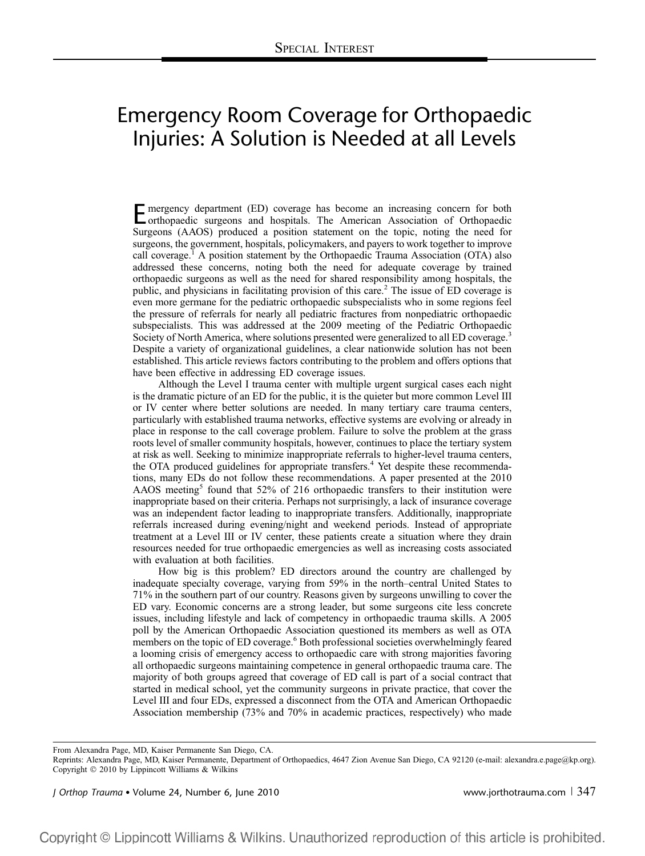## Emergency Room Coverage for Orthopaedic Injuries: A Solution is Needed at all Levels

Emergency department (ED) coverage has become an increasing concern for both orthopaedic surgeons and hospitals. The American Association of Orthopaedic Surgeons (AAOS) produced a position statement on the topic, noting the need for surgeons, the government, hospitals, policymakers, and payers to work together to improve call coverage.<sup>1</sup> A position statement by the Orthopaedic Trauma Association (OTA) also addressed these concerns, noting both the need for adequate coverage by trained orthopaedic surgeons as well as the need for shared responsibility among hospitals, the public, and physicians in facilitating provision of this care.<sup>2</sup> The issue of ED coverage is even more germane for the pediatric orthopaedic subspecialists who in some regions feel the pressure of referrals for nearly all pediatric fractures from nonpediatric orthopaedic subspecialists. This was addressed at the 2009 meeting of the Pediatric Orthopaedic Society of North America, where solutions presented were generalized to all ED coverage.<sup>3</sup> Despite a variety of organizational guidelines, a clear nationwide solution has not been established. This article reviews factors contributing to the problem and offers options that have been effective in addressing ED coverage issues.

Although the Level I trauma center with multiple urgent surgical cases each night is the dramatic picture of an ED for the public, it is the quieter but more common Level III or IV center where better solutions are needed. In many tertiary care trauma centers, particularly with established trauma networks, effective systems are evolving or already in place in response to the call coverage problem. Failure to solve the problem at the grass roots level of smaller community hospitals, however, continues to place the tertiary system at risk as well. Seeking to minimize inappropriate referrals to higher-level trauma centers, the OTA produced guidelines for appropriate transfers.<sup>4</sup> Yet despite these recommendations, many EDs do not follow these recommendations. A paper presented at the 2010 AAOS meeting<sup>5</sup> found that 52% of 216 orthopaedic transfers to their institution were inappropriate based on their criteria. Perhaps not surprisingly, a lack of insurance coverage was an independent factor leading to inappropriate transfers. Additionally, inappropriate referrals increased during evening/night and weekend periods. Instead of appropriate treatment at a Level III or IV center, these patients create a situation where they drain resources needed for true orthopaedic emergencies as well as increasing costs associated with evaluation at both facilities.

How big is this problem? ED directors around the country are challenged by inadequate specialty coverage, varying from 59% in the north–central United States to 71% in the southern part of our country. Reasons given by surgeons unwilling to cover the ED vary. Economic concerns are a strong leader, but some surgeons cite less concrete issues, including lifestyle and lack of competency in orthopaedic trauma skills. A 2005 poll by the American Orthopaedic Association questioned its members as well as OTA members on the topic of ED coverage.<sup>6</sup> Both professional societies overwhelmingly feared a looming crisis of emergency access to orthopaedic care with strong majorities favoring all orthopaedic surgeons maintaining competence in general orthopaedic trauma care. The majority of both groups agreed that coverage of ED call is part of a social contract that started in medical school, yet the community surgeons in private practice, that cover the Level III and four EDs, expressed a disconnect from the OTA and American Orthopaedic Association membership (73% and 70% in academic practices, respectively) who made

From Alexandra Page, MD, Kaiser Permanente San Diego, CA.

J Orthop Trauma Volume 24, Number 6, June 2010 www.jorthotrauma.com <sup>|</sup> 347

Reprints: Alexandra Page, MD, Kaiser Permanente, Department of Orthopaedics, 4647 Zion Avenue San Diego, CA 92120 (e-mail: alexandra.e.page@kp.org). Copyright  $@$  2010 by Lippincott Williams & Wilkins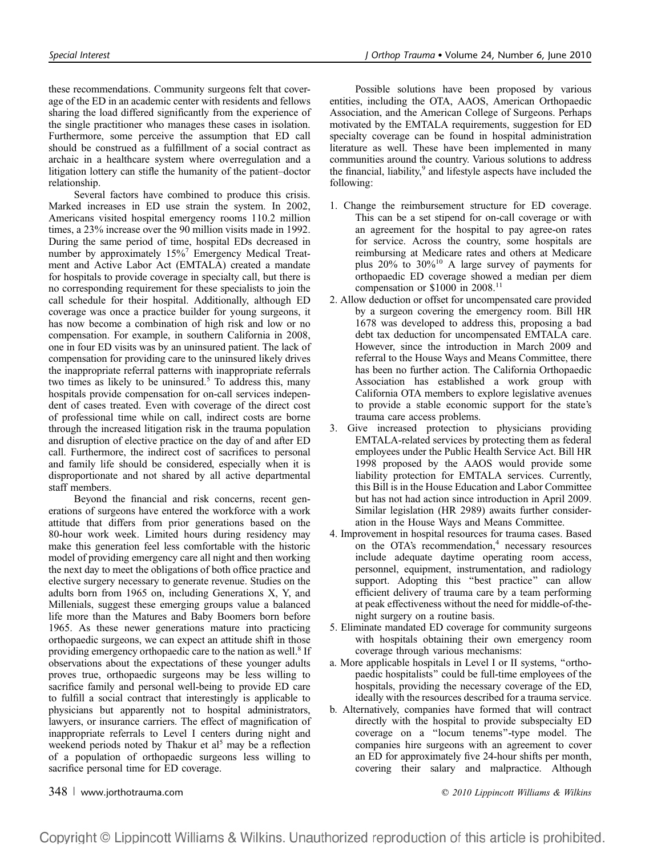these recommendations. Community surgeons felt that coverage of the ED in an academic center with residents and fellows sharing the load differed significantly from the experience of the single practitioner who manages these cases in isolation. Furthermore, some perceive the assumption that ED call should be construed as a fulfillment of a social contract as archaic in a healthcare system where overregulation and a litigation lottery can stifle the humanity of the patient–doctor relationship.

Several factors have combined to produce this crisis. Marked increases in ED use strain the system. In 2002, Americans visited hospital emergency rooms 110.2 million times, a 23% increase over the 90 million visits made in 1992. During the same period of time, hospital EDs decreased in number by approximately 15%<sup>7</sup> Emergency Medical Treatment and Active Labor Act (EMTALA) created a mandate for hospitals to provide coverage in specialty call, but there is no corresponding requirement for these specialists to join the call schedule for their hospital. Additionally, although ED coverage was once a practice builder for young surgeons, it has now become a combination of high risk and low or no compensation. For example, in southern California in 2008, one in four ED visits was by an uninsured patient. The lack of compensation for providing care to the uninsured likely drives the inappropriate referral patterns with inappropriate referrals two times as likely to be uninsured.<sup>5</sup> To address this, many hospitals provide compensation for on-call services independent of cases treated. Even with coverage of the direct cost of professional time while on call, indirect costs are borne through the increased litigation risk in the trauma population and disruption of elective practice on the day of and after ED call. Furthermore, the indirect cost of sacrifices to personal and family life should be considered, especially when it is disproportionate and not shared by all active departmental staff members.

Beyond the financial and risk concerns, recent generations of surgeons have entered the workforce with a work attitude that differs from prior generations based on the 80-hour work week. Limited hours during residency may make this generation feel less comfortable with the historic model of providing emergency care all night and then working the next day to meet the obligations of both office practice and elective surgery necessary to generate revenue. Studies on the adults born from 1965 on, including Generations X, Y, and Millenials, suggest these emerging groups value a balanced life more than the Matures and Baby Boomers born before 1965. As these newer generations mature into practicing orthopaedic surgeons, we can expect an attitude shift in those providing emergency orthopaedic care to the nation as well.<sup>8</sup> If observations about the expectations of these younger adults proves true, orthopaedic surgeons may be less willing to sacrifice family and personal well-being to provide ED care to fulfill a social contract that interestingly is applicable to physicians but apparently not to hospital administrators, lawyers, or insurance carriers. The effect of magnification of inappropriate referrals to Level I centers during night and weekend periods noted by Thakur et al<sup>5</sup> may be a reflection of a population of orthopaedic surgeons less willing to sacrifice personal time for ED coverage.

Possible solutions have been proposed by various entities, including the OTA, AAOS, American Orthopaedic Association, and the American College of Surgeons. Perhaps motivated by the EMTALA requirements, suggestion for ED specialty coverage can be found in hospital administration literature as well. These have been implemented in many communities around the country. Various solutions to address the financial, liability, $9$  and lifestyle aspects have included the following:

- 1. Change the reimbursement structure for ED coverage. This can be a set stipend for on-call coverage or with an agreement for the hospital to pay agree-on rates for service. Across the country, some hospitals are reimbursing at Medicare rates and others at Medicare plus  $20\%$  to  $30\%$ <sup>10</sup> A large survey of payments for orthopaedic ED coverage showed a median per diem compensation or  $$1000$  in 2008.<sup>11</sup>
- 2. Allow deduction or offset for uncompensated care provided by a surgeon covering the emergency room. Bill HR 1678 was developed to address this, proposing a bad debt tax deduction for uncompensated EMTALA care. However, since the introduction in March 2009 and referral to the House Ways and Means Committee, there has been no further action. The California Orthopaedic Association has established a work group with California OTA members to explore legislative avenues to provide a stable economic support for the state's trauma care access problems.
- 3. Give increased protection to physicians providing EMTALA-related services by protecting them as federal employees under the Public Health Service Act. Bill HR 1998 proposed by the AAOS would provide some liability protection for EMTALA services. Currently, this Bill is in the House Education and Labor Committee but has not had action since introduction in April 2009. Similar legislation (HR 2989) awaits further consideration in the House Ways and Means Committee.
- 4. Improvement in hospital resources for trauma cases. Based on the OTA's recommendation,<sup>4</sup> necessary resources include adequate daytime operating room access, personnel, equipment, instrumentation, and radiology support. Adopting this "best practice" can allow efficient delivery of trauma care by a team performing at peak effectiveness without the need for middle-of-thenight surgery on a routine basis.
- 5. Eliminate mandated ED coverage for community surgeons with hospitals obtaining their own emergency room coverage through various mechanisms:
- a. More applicable hospitals in Level I or II systems, ''orthopaedic hospitalists'' could be full-time employees of the hospitals, providing the necessary coverage of the ED, ideally with the resources described for a trauma service.
- b. Alternatively, companies have formed that will contract directly with the hospital to provide subspecialty ED coverage on a ''locum tenems''-type model. The companies hire surgeons with an agreement to cover an ED for approximately five 24-hour shifts per month, covering their salary and malpractice. Although

348 <sup>|</sup> www.jorthotrauma.com q 2010 Lippincott Williams & Wilkins